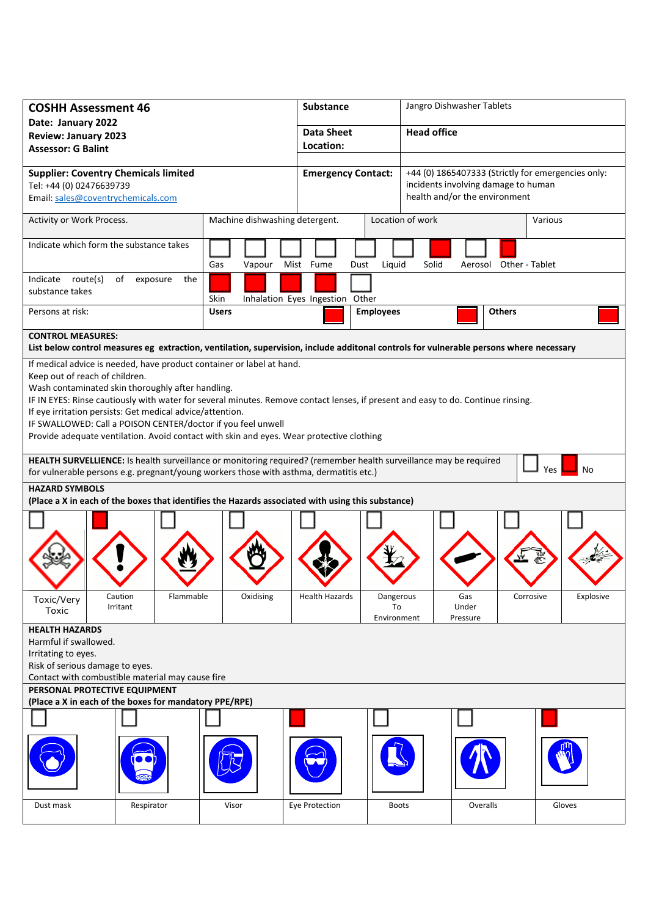| <b>COSHH Assessment 46</b>                                                                                                                                                                                               |                       |                                                                                                                                  | <b>Substance</b>                |                                                                                 | Jangro Dishwasher Tablets |                |           |  |  |
|--------------------------------------------------------------------------------------------------------------------------------------------------------------------------------------------------------------------------|-----------------------|----------------------------------------------------------------------------------------------------------------------------------|---------------------------------|---------------------------------------------------------------------------------|---------------------------|----------------|-----------|--|--|
| Date: January 2022                                                                                                                                                                                                       |                       |                                                                                                                                  | <b>Data Sheet</b>               |                                                                                 | <b>Head office</b>        |                |           |  |  |
| <b>Review: January 2023</b>                                                                                                                                                                                              |                       |                                                                                                                                  | Location:                       |                                                                                 |                           |                |           |  |  |
| <b>Assessor: G Balint</b>                                                                                                                                                                                                |                       |                                                                                                                                  |                                 |                                                                                 |                           |                |           |  |  |
| <b>Supplier: Coventry Chemicals limited</b>                                                                                                                                                                              |                       |                                                                                                                                  |                                 | +44 (0) 1865407333 (Strictly for emergencies only:<br><b>Emergency Contact:</b> |                           |                |           |  |  |
| Tel: +44 (0) 02476639739                                                                                                                                                                                                 |                       |                                                                                                                                  |                                 | incidents involving damage to human                                             |                           |                |           |  |  |
| Email: sales@coventrychemicals.com                                                                                                                                                                                       |                       |                                                                                                                                  |                                 | health and/or the environment                                                   |                           |                |           |  |  |
| Machine dishwashing detergent.<br>Activity or Work Process.                                                                                                                                                              |                       |                                                                                                                                  |                                 | Location of work<br>Various                                                     |                           |                |           |  |  |
|                                                                                                                                                                                                                          |                       |                                                                                                                                  |                                 |                                                                                 |                           |                |           |  |  |
| Indicate which form the substance takes                                                                                                                                                                                  |                       |                                                                                                                                  |                                 |                                                                                 |                           |                |           |  |  |
|                                                                                                                                                                                                                          |                       |                                                                                                                                  | Mist Fume                       |                                                                                 |                           | Other - Tablet |           |  |  |
|                                                                                                                                                                                                                          |                       | Gas<br>Vapour                                                                                                                    | Dust                            | Liquid                                                                          | Solid<br>Aerosol          |                |           |  |  |
| Indicate route(s)<br>substance takes                                                                                                                                                                                     | of<br>exposure<br>the |                                                                                                                                  |                                 |                                                                                 |                           |                |           |  |  |
|                                                                                                                                                                                                                          |                       | Skin                                                                                                                             | Inhalation Eyes Ingestion Other |                                                                                 |                           |                |           |  |  |
| Persons at risk:                                                                                                                                                                                                         |                       | <b>Users</b>                                                                                                                     |                                 | <b>Employees</b>                                                                |                           | <b>Others</b>  |           |  |  |
| <b>CONTROL MEASURES:</b>                                                                                                                                                                                                 |                       |                                                                                                                                  |                                 |                                                                                 |                           |                |           |  |  |
| List below control measures eg extraction, ventilation, supervision, include additonal controls for vulnerable persons where necessary                                                                                   |                       |                                                                                                                                  |                                 |                                                                                 |                           |                |           |  |  |
| If medical advice is needed, have product container or label at hand.                                                                                                                                                    |                       |                                                                                                                                  |                                 |                                                                                 |                           |                |           |  |  |
| Keep out of reach of children.                                                                                                                                                                                           |                       |                                                                                                                                  |                                 |                                                                                 |                           |                |           |  |  |
| Wash contaminated skin thoroughly after handling.                                                                                                                                                                        |                       |                                                                                                                                  |                                 |                                                                                 |                           |                |           |  |  |
|                                                                                                                                                                                                                          |                       | IF IN EYES: Rinse cautiously with water for several minutes. Remove contact lenses, if present and easy to do. Continue rinsing. |                                 |                                                                                 |                           |                |           |  |  |
| If eye irritation persists: Get medical advice/attention.                                                                                                                                                                |                       |                                                                                                                                  |                                 |                                                                                 |                           |                |           |  |  |
|                                                                                                                                                                                                                          |                       | IF SWALLOWED: Call a POISON CENTER/doctor if you feel unwell                                                                     |                                 |                                                                                 |                           |                |           |  |  |
|                                                                                                                                                                                                                          |                       | Provide adequate ventilation. Avoid contact with skin and eyes. Wear protective clothing                                         |                                 |                                                                                 |                           |                |           |  |  |
|                                                                                                                                                                                                                          |                       |                                                                                                                                  |                                 |                                                                                 |                           |                |           |  |  |
| HEALTH SURVELLIENCE: Is health surveillance or monitoring required? (remember health surveillance may be required<br>No<br>Yes<br>for vulnerable persons e.g. pregnant/young workers those with asthma, dermatitis etc.) |                       |                                                                                                                                  |                                 |                                                                                 |                           |                |           |  |  |
| <b>HAZARD SYMBOLS</b>                                                                                                                                                                                                    |                       |                                                                                                                                  |                                 |                                                                                 |                           |                |           |  |  |
| (Place a X in each of the boxes that identifies the Hazards associated with using this substance)                                                                                                                        |                       |                                                                                                                                  |                                 |                                                                                 |                           |                |           |  |  |
|                                                                                                                                                                                                                          |                       |                                                                                                                                  |                                 |                                                                                 |                           |                |           |  |  |
|                                                                                                                                                                                                                          |                       |                                                                                                                                  |                                 |                                                                                 |                           |                |           |  |  |
|                                                                                                                                                                                                                          |                       |                                                                                                                                  |                                 |                                                                                 |                           |                |           |  |  |
|                                                                                                                                                                                                                          |                       |                                                                                                                                  |                                 |                                                                                 |                           |                |           |  |  |
|                                                                                                                                                                                                                          |                       |                                                                                                                                  |                                 |                                                                                 |                           |                |           |  |  |
|                                                                                                                                                                                                                          |                       |                                                                                                                                  |                                 |                                                                                 |                           |                |           |  |  |
| Toxic/Very                                                                                                                                                                                                               | Caution<br>Flammable  | Oxidising                                                                                                                        | <b>Health Hazards</b>           | Dangerous                                                                       | Gas                       | Corrosive      | Explosive |  |  |
| Toxic                                                                                                                                                                                                                    | Irritant              |                                                                                                                                  |                                 | To                                                                              | Under                     |                |           |  |  |
|                                                                                                                                                                                                                          |                       |                                                                                                                                  |                                 | Environment                                                                     | Pressure                  |                |           |  |  |
| <b>HEALTH HAZARDS</b><br>Harmful if swallowed.                                                                                                                                                                           |                       |                                                                                                                                  |                                 |                                                                                 |                           |                |           |  |  |
| Irritating to eyes.                                                                                                                                                                                                      |                       |                                                                                                                                  |                                 |                                                                                 |                           |                |           |  |  |
| Risk of serious damage to eyes.                                                                                                                                                                                          |                       |                                                                                                                                  |                                 |                                                                                 |                           |                |           |  |  |
| Contact with combustible material may cause fire                                                                                                                                                                         |                       |                                                                                                                                  |                                 |                                                                                 |                           |                |           |  |  |
| PERSONAL PROTECTIVE EQUIPMENT                                                                                                                                                                                            |                       |                                                                                                                                  |                                 |                                                                                 |                           |                |           |  |  |
| (Place a X in each of the boxes for mandatory PPE/RPE)                                                                                                                                                                   |                       |                                                                                                                                  |                                 |                                                                                 |                           |                |           |  |  |
|                                                                                                                                                                                                                          |                       |                                                                                                                                  |                                 |                                                                                 |                           |                |           |  |  |
|                                                                                                                                                                                                                          |                       |                                                                                                                                  |                                 |                                                                                 |                           |                |           |  |  |
|                                                                                                                                                                                                                          |                       |                                                                                                                                  |                                 |                                                                                 |                           |                |           |  |  |
|                                                                                                                                                                                                                          |                       |                                                                                                                                  |                                 |                                                                                 |                           |                |           |  |  |
|                                                                                                                                                                                                                          |                       |                                                                                                                                  |                                 |                                                                                 |                           |                |           |  |  |
|                                                                                                                                                                                                                          |                       |                                                                                                                                  |                                 |                                                                                 |                           |                |           |  |  |
| Dust mask                                                                                                                                                                                                                | Respirator            | Visor                                                                                                                            | Eye Protection                  | <b>Boots</b>                                                                    | Overalls                  |                | Gloves    |  |  |
|                                                                                                                                                                                                                          |                       |                                                                                                                                  |                                 |                                                                                 |                           |                |           |  |  |